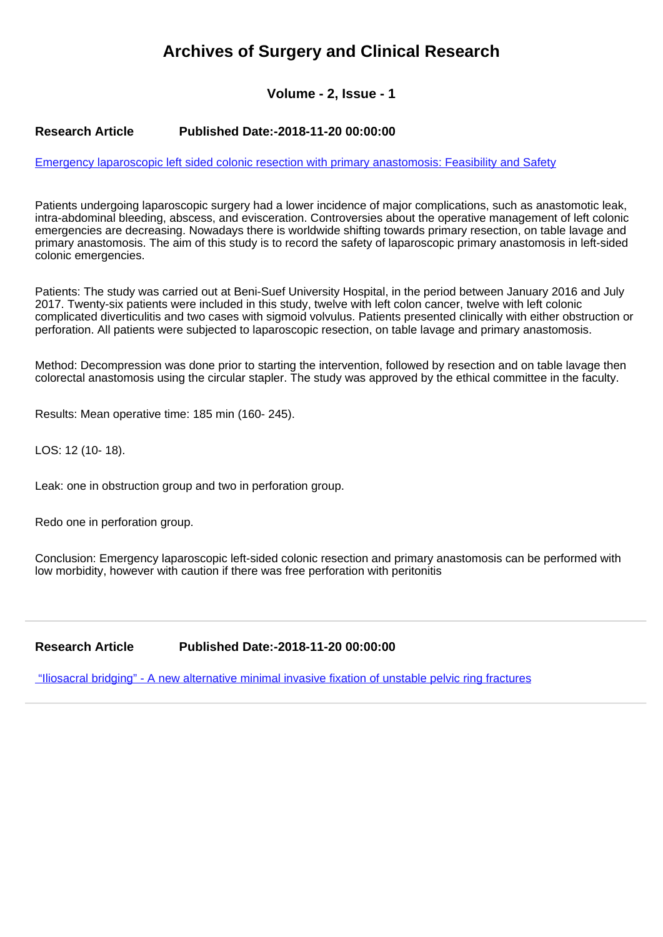# **Archives of Surgery and Clinical Research**

## **Volume - 2, Issue - 1**

#### **Research Article Published Date:-2018-11-20 00:00:00**

[Emergency laparoscopic left sided colonic resection with primary anastomosis: Feasibility and Safety](https://www.clinsurgeryjournal.com/articles/ascr-aid1021.pdf)

Patients undergoing laparoscopic surgery had a lower incidence of major complications, such as anastomotic leak, intra-abdominal bleeding, abscess, and evisceration. Controversies about the operative management of left colonic emergencies are decreasing. Nowadays there is worldwide shifting towards primary resection, on table lavage and primary anastomosis. The aim of this study is to record the safety of laparoscopic primary anastomosis in left-sided colonic emergencies.

Patients: The study was carried out at Beni-Suef University Hospital, in the period between January 2016 and July 2017. Twenty-six patients were included in this study, twelve with left colon cancer, twelve with left colonic complicated diverticulitis and two cases with sigmoid volvulus. Patients presented clinically with either obstruction or perforation. All patients were subjected to laparoscopic resection, on table lavage and primary anastomosis.

Method: Decompression was done prior to starting the intervention, followed by resection and on table lavage then colorectal anastomosis using the circular stapler. The study was approved by the ethical committee in the faculty.

Results: Mean operative time: 185 min (160- 245).

LOS: 12 (10- 18).

Leak: one in obstruction group and two in perforation group.

Redo one in perforation group.

Conclusion: Emergency laparoscopic left-sided colonic resection and primary anastomosis can be performed with low morbidity, however with caution if there was free perforation with peritonitis

**Research Article Published Date:-2018-11-20 00:00:00**

 ["Iliosacral bridging" - A new alternative minimal invasive fixation of unstable pelvic ring fractures](https://www.clinsurgeryjournal.com/articles/ascr-aid1022.pdf)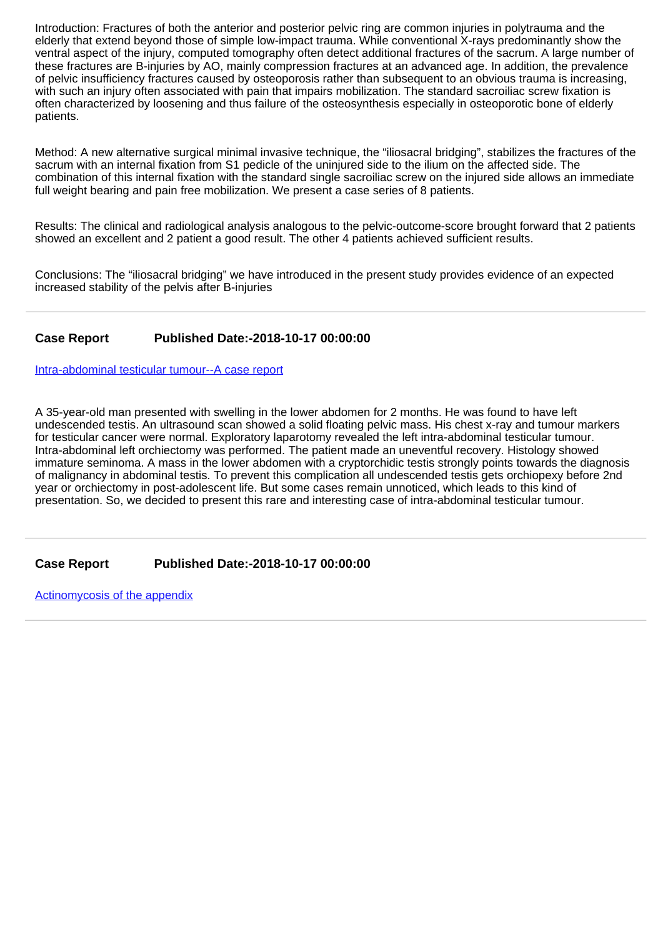Introduction: Fractures of both the anterior and posterior pelvic ring are common injuries in polytrauma and the elderly that extend beyond those of simple low-impact trauma. While conventional X-rays predominantly show the ventral aspect of the injury, computed tomography often detect additional fractures of the sacrum. A large number of these fractures are B-injuries by AO, mainly compression fractures at an advanced age. In addition, the prevalence of pelvic insufficiency fractures caused by osteoporosis rather than subsequent to an obvious trauma is increasing, with such an injury often associated with pain that impairs mobilization. The standard sacroiliac screw fixation is often characterized by loosening and thus failure of the osteosynthesis especially in osteoporotic bone of elderly patients.

Method: A new alternative surgical minimal invasive technique, the "iliosacral bridging", stabilizes the fractures of the sacrum with an internal fixation from S1 pedicle of the uninjured side to the ilium on the affected side. The combination of this internal fixation with the standard single sacroiliac screw on the injured side allows an immediate full weight bearing and pain free mobilization. We present a case series of 8 patients.

Results: The clinical and radiological analysis analogous to the pelvic-outcome-score brought forward that 2 patients showed an excellent and 2 patient a good result. The other 4 patients achieved sufficient results.

Conclusions: The "iliosacral bridging" we have introduced in the present study provides evidence of an expected increased stability of the pelvis after B-injuries

### **Case Report Published Date:-2018-10-17 00:00:00**

[Intra-abdominal testicular tumour--A case report](https://www.clinsurgeryjournal.com/articles/ascr-aid1019.pdf)

A 35-year-old man presented with swelling in the lower abdomen for 2 months. He was found to have left undescended testis. An ultrasound scan showed a solid floating pelvic mass. His chest x-ray and tumour markers for testicular cancer were normal. Exploratory laparotomy revealed the left intra-abdominal testicular tumour. Intra-abdominal left orchiectomy was performed. The patient made an uneventful recovery. Histology showed immature seminoma. A mass in the lower abdomen with a cryptorchidic testis strongly points towards the diagnosis of malignancy in abdominal testis. To prevent this complication all undescended testis gets orchiopexy before 2nd year or orchiectomy in post-adolescent life. But some cases remain unnoticed, which leads to this kind of presentation. So, we decided to present this rare and interesting case of intra-abdominal testicular tumour.

**Case Report Published Date:-2018-10-17 00:00:00**

[Actinomycosis of the appendix](https://www.clinsurgeryjournal.com/articles/ascr-aid1020.pdf)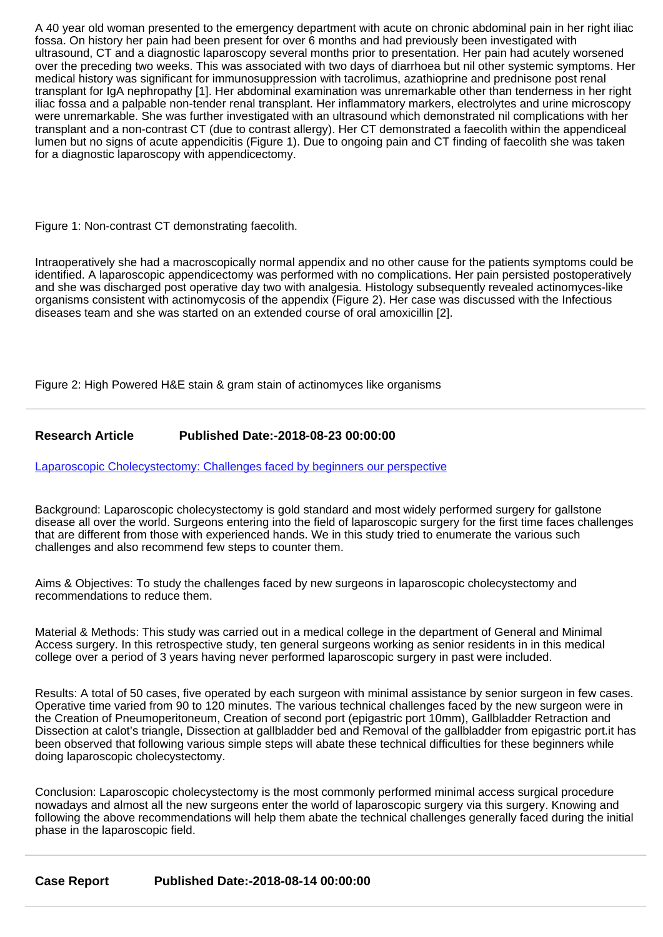A 40 year old woman presented to the emergency department with acute on chronic abdominal pain in her right iliac fossa. On history her pain had been present for over 6 months and had previously been investigated with ultrasound, CT and a diagnostic laparoscopy several months prior to presentation. Her pain had acutely worsened over the preceding two weeks. This was associated with two days of diarrhoea but nil other systemic symptoms. Her medical history was significant for immunosuppression with tacrolimus, azathioprine and prednisone post renal transplant for IgA nephropathy [1]. Her abdominal examination was unremarkable other than tenderness in her right iliac fossa and a palpable non-tender renal transplant. Her inflammatory markers, electrolytes and urine microscopy were unremarkable. She was further investigated with an ultrasound which demonstrated nil complications with her transplant and a non-contrast CT (due to contrast allergy). Her CT demonstrated a faecolith within the appendiceal lumen but no signs of acute appendicitis (Figure 1). Due to ongoing pain and CT finding of faecolith she was taken for a diagnostic laparoscopy with appendicectomy.

Figure 1: Non-contrast CT demonstrating faecolith.

Intraoperatively she had a macroscopically normal appendix and no other cause for the patients symptoms could be identified. A laparoscopic appendicectomy was performed with no complications. Her pain persisted postoperatively and she was discharged post operative day two with analgesia. Histology subsequently revealed actinomyces-like organisms consistent with actinomycosis of the appendix (Figure 2). Her case was discussed with the Infectious diseases team and she was started on an extended course of oral amoxicillin [2].

Figure 2: High Powered H&E stain & gram stain of actinomyces like organisms

### **Research Article Published Date:-2018-08-23 00:00:00**

[Laparoscopic Cholecystectomy: Challenges faced by beginners our perspective](https://www.clinsurgeryjournal.com/articles/ascr-aid1018.pdf)

Background: Laparoscopic cholecystectomy is gold standard and most widely performed surgery for gallstone disease all over the world. Surgeons entering into the field of laparoscopic surgery for the first time faces challenges that are different from those with experienced hands. We in this study tried to enumerate the various such challenges and also recommend few steps to counter them.

Aims & Objectives: To study the challenges faced by new surgeons in laparoscopic cholecystectomy and recommendations to reduce them.

Material & Methods: This study was carried out in a medical college in the department of General and Minimal Access surgery. In this retrospective study, ten general surgeons working as senior residents in in this medical college over a period of 3 years having never performed laparoscopic surgery in past were included.

Results: A total of 50 cases, five operated by each surgeon with minimal assistance by senior surgeon in few cases. Operative time varied from 90 to 120 minutes. The various technical challenges faced by the new surgeon were in the Creation of Pneumoperitoneum, Creation of second port (epigastric port 10mm), Gallbladder Retraction and Dissection at calot's triangle, Dissection at gallbladder bed and Removal of the gallbladder from epigastric port.it has been observed that following various simple steps will abate these technical difficulties for these beginners while doing laparoscopic cholecystectomy.

Conclusion: Laparoscopic cholecystectomy is the most commonly performed minimal access surgical procedure nowadays and almost all the new surgeons enter the world of laparoscopic surgery via this surgery. Knowing and following the above recommendations will help them abate the technical challenges generally faced during the initial phase in the laparoscopic field.

**Case Report Published Date:-2018-08-14 00:00:00**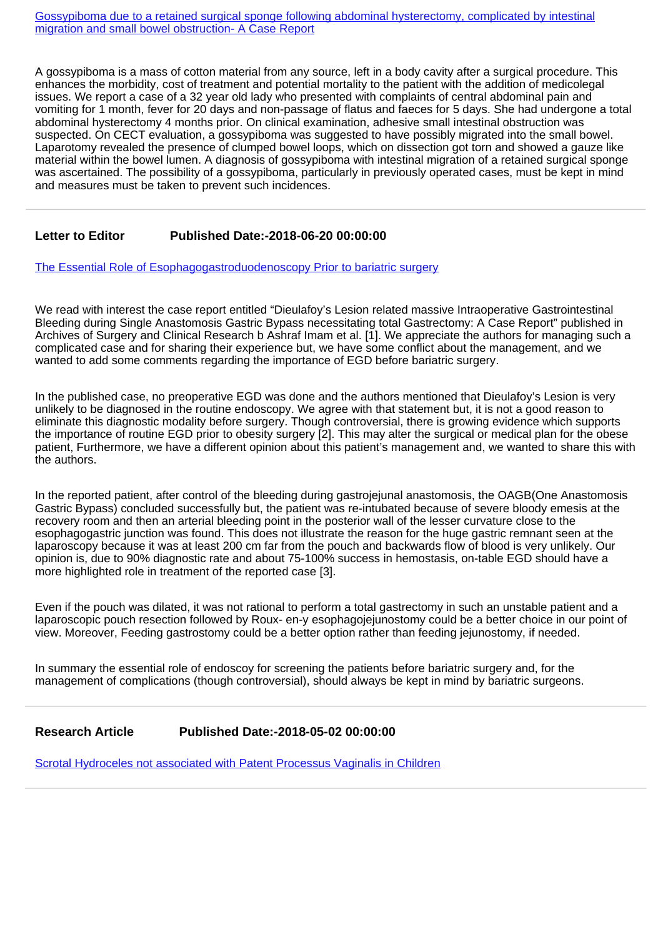[Gossypiboma due to a retained surgical sponge following abdominal hysterectomy, complicated by intestinal](https://www.clinsurgeryjournal.com/articles/ascr-aid1017.pdf) [migration and small bowel obstruction- A Case Report](https://www.clinsurgeryjournal.com/articles/ascr-aid1017.pdf)

A gossypiboma is a mass of cotton material from any source, left in a body cavity after a surgical procedure. This enhances the morbidity, cost of treatment and potential mortality to the patient with the addition of medicolegal issues. We report a case of a 32 year old lady who presented with complaints of central abdominal pain and vomiting for 1 month, fever for 20 days and non-passage of flatus and faeces for 5 days. She had undergone a total abdominal hysterectomy 4 months prior. On clinical examination, adhesive small intestinal obstruction was suspected. On CECT evaluation, a gossypiboma was suggested to have possibly migrated into the small bowel. Laparotomy revealed the presence of clumped bowel loops, which on dissection got torn and showed a gauze like material within the bowel lumen. A diagnosis of gossypiboma with intestinal migration of a retained surgical sponge was ascertained. The possibility of a gossypiboma, particularly in previously operated cases, must be kept in mind and measures must be taken to prevent such incidences.

### **Letter to Editor Published Date:-2018-06-20 00:00:00**

[The Essential Role of Esophagogastroduodenoscopy Prior to bariatric surgery](https://www.clinsurgeryjournal.com/articles/ascr-aid1016.pdf)

We read with interest the case report entitled "Dieulafoy's Lesion related massive Intraoperative Gastrointestinal Bleeding during Single Anastomosis Gastric Bypass necessitating total Gastrectomy: A Case Report" published in Archives of Surgery and Clinical Research b Ashraf Imam et al. [1]. We appreciate the authors for managing such a complicated case and for sharing their experience but, we have some conflict about the management, and we wanted to add some comments regarding the importance of EGD before bariatric surgery.

In the published case, no preoperative EGD was done and the authors mentioned that Dieulafoy's Lesion is very unlikely to be diagnosed in the routine endoscopy. We agree with that statement but, it is not a good reason to eliminate this diagnostic modality before surgery. Though controversial, there is growing evidence which supports the importance of routine EGD prior to obesity surgery [2]. This may alter the surgical or medical plan for the obese patient, Furthermore, we have a different opinion about this patient's management and, we wanted to share this with the authors.

In the reported patient, after control of the bleeding during gastrojejunal anastomosis, the OAGB(One Anastomosis Gastric Bypass) concluded successfully but, the patient was re-intubated because of severe bloody emesis at the recovery room and then an arterial bleeding point in the posterior wall of the lesser curvature close to the esophagogastric junction was found. This does not illustrate the reason for the huge gastric remnant seen at the laparoscopy because it was at least 200 cm far from the pouch and backwards flow of blood is very unlikely. Our opinion is, due to 90% diagnostic rate and about 75-100% success in hemostasis, on-table EGD should have a more highlighted role in treatment of the reported case [3].

Even if the pouch was dilated, it was not rational to perform a total gastrectomy in such an unstable patient and a laparoscopic pouch resection followed by Roux- en-y esophagojejunostomy could be a better choice in our point of view. Moreover, Feeding gastrostomy could be a better option rather than feeding jejunostomy, if needed.

In summary the essential role of endoscoy for screening the patients before bariatric surgery and, for the management of complications (though controversial), should always be kept in mind by bariatric surgeons.

#### **Research Article Published Date:-2018-05-02 00:00:00**

[Scrotal Hydroceles not associated with Patent Processus Vaginalis in Children](https://www.clinsurgeryjournal.com/articles/ascr-aid1015.pdf)